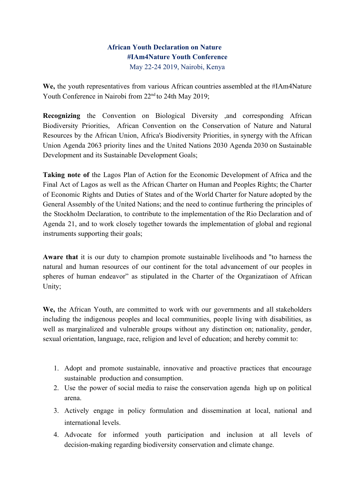# **African Youth Declaration on Nature #IAm4Nature Youth Conference** May 22-24 2019, Nairobi, Kenya

**We,** the youth representatives from various African countries assembled at the #IAm4Nature Youth Conference in Nairobi from 22<sup>nd</sup> to 24th May 2019;

**Recognizing** the Convention on Biological Diversity ,and corresponding African Biodiversity Priorities, African Convention on the Conservation of Nature and Natural Resources by the African Union, Africa's Biodiversity Priorities, in synergy with the African Union Agenda 2063 priority lines and the United Nations 2030 Agenda 2030 on Sustainable Development and its Sustainable Development Goals;

**Taking note of** the Lagos Plan of Action for the Economic Development of Africa and the Final Act of Lagos as well as the African Charter on Human and Peoples Rights; the Charter of Economic Rights and Duties of States and of the World Charter for Nature adopted by the General Assembly of the United Nations; and the need to continue furthering the principles of the Stockholm Declaration, to contribute to the implementation of the Rio Declaration and of Agenda 21, and to work closely together towards the implementation of global and regional instruments supporting their goals;

**Aware that** it is our duty to champion promote sustainable livelihoods and "to harness the natural and human resources of our continent for the total advancement of our peoples in spheres of human endeavor" as stipulated in the Charter of the Organizatiaon of African Unity;

**We,** the African Youth, are committed to work with our governments and all stakeholders including the indigenous peoples and local communities, people living with disabilities, as well as marginalized and vulnerable groups without any distinction on; nationality, gender, sexual orientation, language, race, religion and level of education; and hereby commit to:

- 1. Adopt and promote sustainable, innovative and proactive practices that encourage sustainable production and consumption.
- 2. Use the power of social media to raise the conservation agenda high up on political arena.
- 3. Actively engage in policy formulation and dissemination at local, national and international levels.
- 4. Advocate for informed youth participation and inclusion at all levels of decision-making regarding biodiversity conservation and climate change.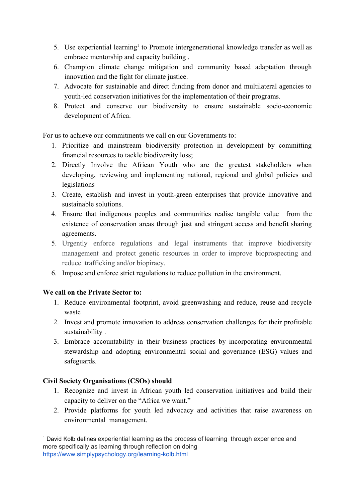- 5. Use experiential learning<sup>1</sup> to Promote intergenerational knowledge transfer as well as embrace mentorship and capacity building .
- 6. Champion climate change mitigation and community based adaptation through innovation and the fight for climate justice.
- 7. Advocate for sustainable and direct funding from donor and multilateral agencies to youth-led conservation initiatives for the implementation of their programs.
- 8. Protect and conserve our biodiversity to ensure sustainable socio-economic development of Africa.

For us to achieve our commitments we call on our Governments to:

- 1. Prioritize and mainstream biodiversity protection in development by committing financial resources to tackle biodiversity loss;
- 2. Directly Involve the African Youth who are the greatest stakeholders when developing, reviewing and implementing national, regional and global policies and legislations
- 3. Create, establish and invest in youth-green enterprises that provide innovative and sustainable solutions.
- 4. Ensure that indigenous peoples and communities realise tangible value from the existence of conservation areas through just and stringent access and benefit sharing agreements.
- 5. Urgently enforce regulations and legal instruments that improve biodiversity management and protect genetic resources in order to improve bioprospecting and reduce trafficking and/or biopiracy.
- 6. Impose and enforce strict regulations to reduce pollution in the environment.

## **We call on the Private Sector to:**

- 1. Reduce environmental footprint, avoid greenwashing and reduce, reuse and recycle waste
- 2. Invest and promote innovation to address conservation challenges for their profitable sustainability .
- 3. Embrace accountability in their business practices by incorporating environmental stewardship and adopting environmental social and governance (ESG) values and safeguards.

## **Civil Society Organisations (CSOs) should**

- 1. Recognize and invest in African youth led conservation initiatives and build their capacity to deliver on the "Africa we want."
- 2. Provide platforms for youth led advocacy and activities that raise awareness on environmental management.

<sup>1</sup> David Kolb defines experiential learning as the process of learning through experience and more specifically as learning through reflection on doing <https://www.simplypsychology.org/learning-kolb.html>